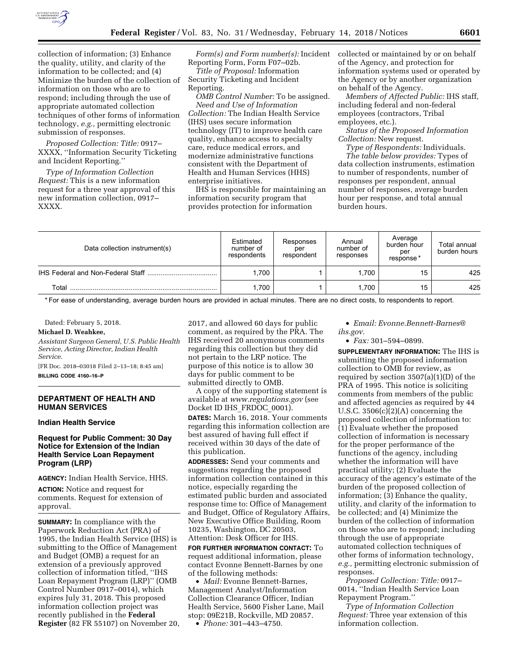

collection of information; (3) Enhance the quality, utility, and clarity of the information to be collected; and (4) Minimize the burden of the collection of information on those who are to respond; including through the use of appropriate automated collection techniques of other forms of information technology, *e.g.,* permitting electronic submission of responses.

*Proposed Collection: Title:* 0917– XXXX, ''Information Security Ticketing and Incident Reporting.''

*Type of Information Collection Request:* This is a new information request for a three year approval of this new information collection, 0917– XXXX.

*Form(s) and Form number(s):* Incident Reporting Form, Form F07–02b.

*Title of Proposal:* Information Security Ticketing and Incident Reporting.

*OMB Control Number:* To be assigned. *Need and Use of Information Collection:* The Indian Health Service (IHS) uses secure information technology (IT) to improve health care quality, enhance access to specialty care, reduce medical errors, and modernize administrative functions consistent with the Department of Health and Human Services (HHS) enterprise initiatives.

IHS is responsible for maintaining an information security program that provides protection for information

collected or maintained by or on behalf of the Agency, and protection for information systems used or operated by the Agency or by another organization on behalf of the Agency.

*Members of Affected Public:* IHS staff, including federal and non-federal employees (contractors, Tribal employees, etc.).

*Status of the Proposed Information Collection:* New request.

*Type of Respondents:* Individuals. *The table below provides:* Types of data collection instruments, estimation to number of respondents, number of responses per respondent, annual number of responses, average burden hour per response, and total annual burden hours.

| Data collection instrument(s) | Estimated<br>number of<br>respondents | Responses<br>per<br>respondent | Annual<br>number of<br>responses | Average<br>burden hour<br>per<br>response* | Total annual<br>burden hours |
|-------------------------------|---------------------------------------|--------------------------------|----------------------------------|--------------------------------------------|------------------------------|
|                               | .700                                  |                                | 1.700                            | 15                                         | 425                          |
| Total                         | .700                                  |                                | 1.700                            | 15                                         | 425                          |

\* For ease of understanding, average burden hours are provided in actual minutes. There are no direct costs, to respondents to report.

Dated: February 5, 2018.

## **Michael D. Weahkee,**

*Assistant Surgeon General, U.S. Public Health Service, Acting Director, Indian Health Service.* 

[FR Doc. 2018–03018 Filed 2–13–18; 8:45 am] **BILLING CODE 4160–16–P** 

# **DEPARTMENT OF HEALTH AND HUMAN SERVICES**

#### **Indian Health Service**

**Request for Public Comment: 30 Day Notice for Extension of the Indian Health Service Loan Repayment Program (LRP)** 

**AGENCY:** Indian Health Service, HHS.

**ACTION:** Notice and request for comments. Request for extension of approval.

**SUMMARY:** In compliance with the Paperwork Reduction Act (PRA) of 1995, the Indian Health Service (IHS) is submitting to the Office of Management and Budget (OMB) a request for an extension of a previously approved collection of information titled, ''IHS Loan Repayment Program (LRP)'' (OMB Control Number 0917–0014), which expires July 31, 2018. This proposed information collection project was recently published in the **Federal Register** (82 FR 55107) on November 20,

2017, and allowed 60 days for public comment, as required by the PRA. The IHS received 20 anonymous comments regarding this collection but they did not pertain to the LRP notice. The purpose of this notice is to allow 30 days for public comment to be submitted directly to OMB.

A copy of the supporting statement is available at *[www.regulations.gov](http://www.regulations.gov)* (see Docket ID IHS\_FRDOC\_0001).

**DATES:** March 16, 2018. Your comments regarding this information collection are best assured of having full effect if received within 30 days of the date of this publication.

**ADDRESSES:** Send your comments and suggestions regarding the proposed information collection contained in this notice, especially regarding the estimated public burden and associated response time to: Office of Management and Budget, Office of Regulatory Affairs, New Executive Office Building, Room 10235, Washington, DC 20503, Attention: Desk Officer for IHS.

**FOR FURTHER INFORMATION CONTACT:** To request additional information, please contact Evonne Bennett-Barnes by one of the following methods:

• *Mail:* Evonne Bennett-Barnes, Management Analyst/Information Collection Clearance Officer, Indian Health Service, 5600 Fisher Lane, Mail stop: 09E21B, Rockville, MD 20857.

• *Phone:* 301–443–4750.

• *Email: [Evonne.Bennett-Barnes@](mailto:Evonne.Bennett-Barnes@ihs.gov) [ihs.gov.](mailto:Evonne.Bennett-Barnes@ihs.gov)* 

• *Fax:* 301–594–0899.

**SUPPLEMENTARY INFORMATION:** The IHS is submitting the proposed information collection to OMB for review, as required by section 3507(a)(1)(D) of the PRA of 1995. This notice is soliciting comments from members of the public and affected agencies as required by 44 U.S.C. 3506(c)(2)(A) concerning the proposed collection of information to: (1) Evaluate whether the proposed collection of information is necessary for the proper performance of the functions of the agency, including whether the information will have practical utility; (2) Evaluate the accuracy of the agency's estimate of the burden of the proposed collection of information; (3) Enhance the quality, utility, and clarity of the information to be collected; and (4) Minimize the burden of the collection of information on those who are to respond; including through the use of appropriate automated collection techniques of other forms of information technology, *e.g.,* permitting electronic submission of responses.

*Proposed Collection: Title:* 0917– 0014, ''Indian Health Service Loan Repayment Program.''

*Type of Information Collection Request:* Three year extension of this information collection.